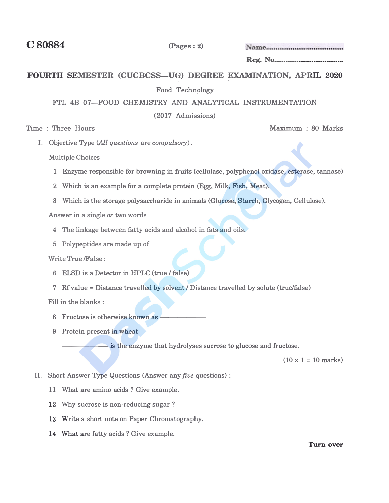**C80884 (Pages: 2)** 

**Reg. No·-··-----·-··-----·····** 

## FOURTH SEMESTER (CUCBCSS-UG) DEGREE EXAMINATION, APRIL 2020

Food Technology

**FrL 4B 07-FOOD CHEMISTRY AND ANALYTICAL INSTRUMENTATION** 

**(2017 Admissions)** 

**Time : Three Hours** 

Maximum: 80 Marks

**I.** Objective Type (All *questions* are *compulsory*).

**Multiple Choices**

- **1 Enzyme responsible for browning in fruits (cellulase, polyphenol oxidase, esterase, tannase)**
- 2 Which is an example for a complete protein (Egg, Milk, Fish, Meat).
- **3 Which is the storage polysaccharide in animals (Glucose, Starch, Glycogen, Cellulose).**

**Answer in a single** *or* **two words** 

- **4 The linkage between fatty acids and alcohol in fats and oils.**
- **5 Polypeptides are made up of**

**Write True /False:** 

- **6 ELSD is a Detector in HP<sup>L</sup>C (true/ false)**
- **7** Rf value = Distance travelled by solvent / Distance travelled by solute (true/false)

**Fill in the blanks :** 

- 8 Fructose is otherwise known as -
- **9** Protein present in wheat --

- is the enzyme that hydrolyses sucrose to glucose and fructose.

 $(10 \times 1 = 10 \text{ marks})$ 

- **II. Short Answer Type Questions (Answer any** *five* **questions) :**
	- **11 What are amino acids ? Give example.**
	- **12 Why sucrose is non-reducing sugar ?**
	- 13 Write a short note on Paper Chromatography.
	- **14 What are fatty acids? Give example.**

**Turn over**